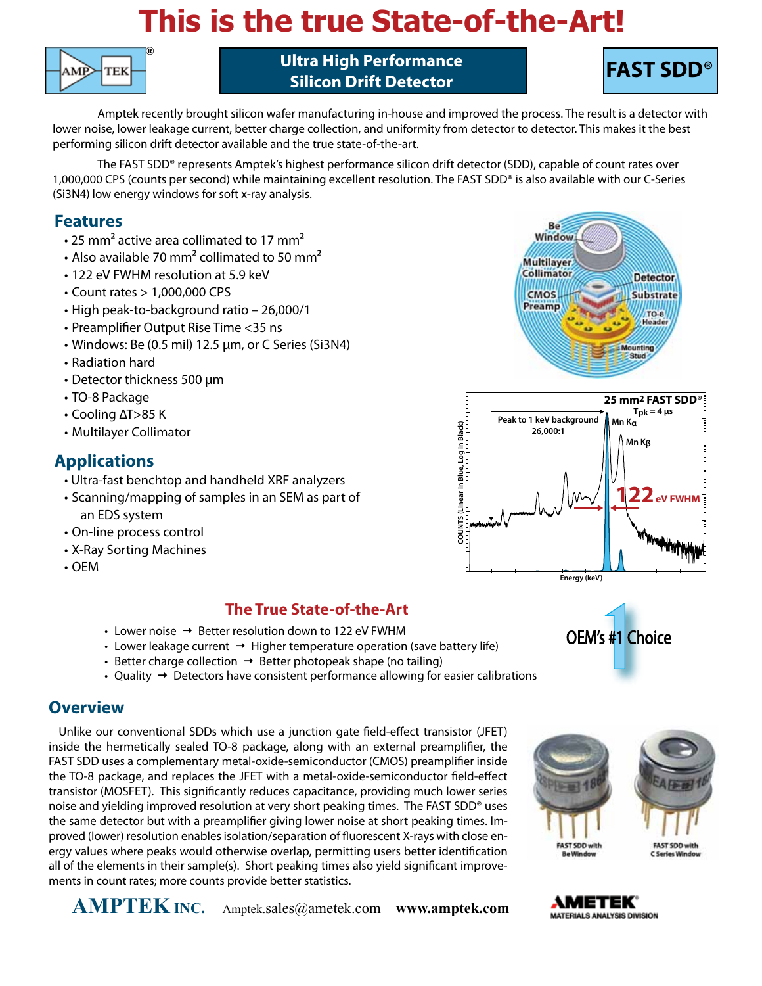# **This is the true State-of-the-Art!**



**Ultra High Performance Silicon Drift Detector**



Amptek recently brought silicon wafer manufacturing in-house and improved the process. The result is a detector with lower noise, lower leakage current, better charge collection, and uniformity from detector to detector. This makes it the best performing silicon drift detector available and the true state-of-the-art.

The FAST SDD® represents Amptek's highest performance silicon drift detector (SDD), capable of count rates over 1,000,000 CPS (counts per second) while maintaining excellent resolution. The FAST SDD® is also available with our C-Series (Si3N4) low energy windows for soft x-ray analysis.

### **Features**

- $\cdot$  25 mm<sup>2</sup> active area collimated to 17 mm<sup>2</sup>
- Also available 70 mm<sup>2</sup> collimated to 50 mm<sup>2</sup>
- 122 eV FWHM resolution at 5.9 keV
- Count rates > 1,000,000 CPS
- High peak-to-background ratio 26,000/1
- Preamplifier Output Rise Time <35 ns
- Windows: Be (0.5 mil) 12.5 µm, or C Series (Si3N4)
- Radiation hard
- Detector thickness 500 µm
- TO-8 Package
- Cooling ΔT>85 K
- Multilayer Collimator

## **Applications**

- Ultra-fast benchtop and handheld XRF analyzers
- Scanning/mapping of samples in an SEM as part of an EDS system
- On-line process control
- X-Ray Sorting Machines
- OEM

## **The True State-of-the-Art**

- Lower noise  $\rightarrow$  Better resolution down to 122 eV FWHM
- Lower leakage current  $\rightarrow$  Higher temperature operation (save battery life)
- Better charge collection  $\rightarrow$  Better photopeak shape (no tailing)
- 

## **Overview**

Unlike our conventional SDDs which use a junction gate field-effect transistor (JFET) inside the hermetically sealed TO-8 package, along with an external preamplifier, the FAST SDD uses a complementary metal-oxide-semiconductor (CMOS) preamplifier inside the TO-8 package, and replaces the JFET with a metal-oxide-semiconductor field-effect transistor (MOSFET). This significantly reduces capacitance, providing much lower series noise and yielding improved resolution at very short peaking times. The FAST SDD® uses the same detector but with a preamplifier giving lower noise at short peaking times. Improved (lower) resolution enables isolation/separation of fluorescent X-rays with close energy values where peaks would otherwise overlap, permitting users better identification all of the elements in their sample(s). Short peaking times also yield significant improvements in count rates; more counts provide better statistics.









**Energy (keV)**

OEM's #1 Choice

**AMPTEK INC.** Amptek.sales@ametek.com **www.amptek.com**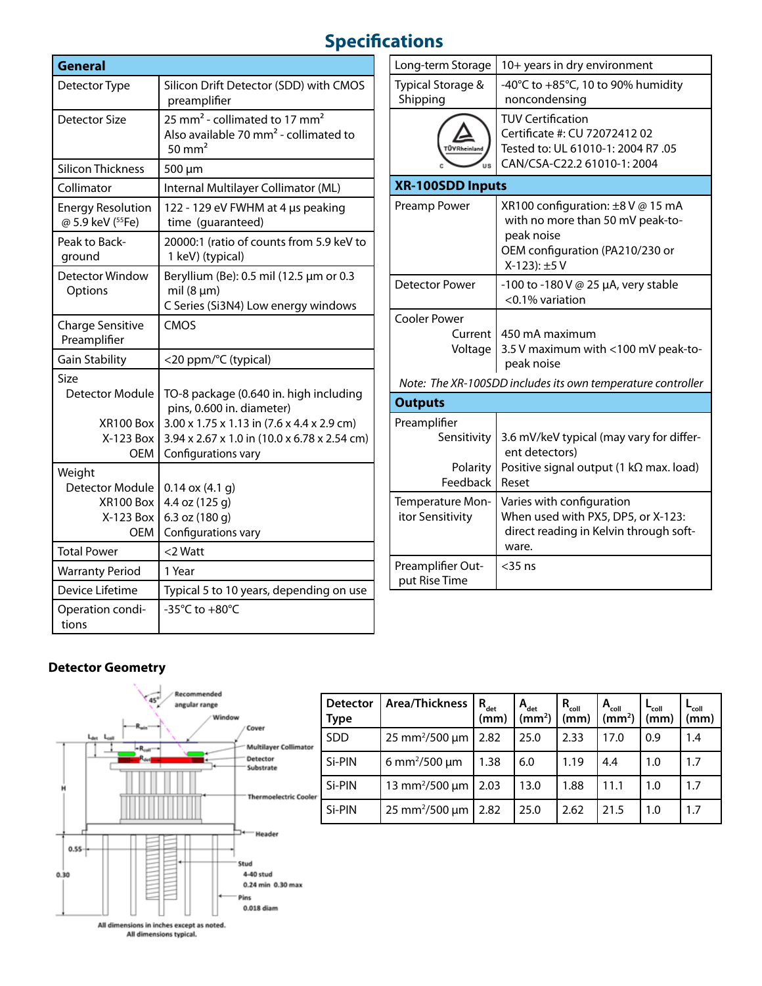## **Specifications**

| General                                                    |                                                                                                                                           |  |  |  |  |
|------------------------------------------------------------|-------------------------------------------------------------------------------------------------------------------------------------------|--|--|--|--|
| Detector Type                                              | Silicon Drift Detector (SDD) with CMOS<br>preamplifier                                                                                    |  |  |  |  |
| <b>Detector Size</b>                                       | 25 mm <sup>2</sup> - collimated to 17 mm <sup>2</sup><br>Also available 70 mm <sup>2</sup> - collimated to<br>$50 \text{ mm}^2$           |  |  |  |  |
| <b>Silicon Thickness</b>                                   | 500 µm                                                                                                                                    |  |  |  |  |
| Collimator                                                 | Internal Multilayer Collimator (ML)                                                                                                       |  |  |  |  |
| <b>Energy Resolution</b><br>@ 5.9 keV (55Fe)               | 122 - 129 eV FWHM at 4 us peaking<br>time (guaranteed)                                                                                    |  |  |  |  |
| Peak to Back-<br>ground                                    | 20000:1 (ratio of counts from 5.9 keV to<br>1 keV) (typical)                                                                              |  |  |  |  |
| Detector Window<br>Options                                 | Beryllium (Be): 0.5 mil (12.5 µm or 0.3<br>mil $(8 \mu m)$<br>C Series (Si3N4) Low energy windows                                         |  |  |  |  |
| <b>Charge Sensitive</b><br>Preamplifier                    | CMOS                                                                                                                                      |  |  |  |  |
| Gain Stability                                             | <20 ppm/°C (typical)                                                                                                                      |  |  |  |  |
| Size<br><b>Detector Module</b>                             | TO-8 package (0.640 in. high including<br>pins, 0.600 in. diameter)                                                                       |  |  |  |  |
| XR100 Box<br>X-123 Box<br><b>OEM</b>                       | $3.00 \times 1.75 \times 1.13$ in $(7.6 \times 4.4 \times 2.9$ cm)<br>3.94 x 2.67 x 1.0 in (10.0 x 6.78 x 2.54 cm)<br>Configurations vary |  |  |  |  |
| Weight<br>Detector Module<br>XR100 Box<br>X-123 Box<br>OEM | $0.14$ ox $(4.1)$<br>4.4 oz (125 g)<br>6.3 oz (180 g)<br>Configurations vary                                                              |  |  |  |  |
| <b>Total Power</b>                                         | <2 Watt                                                                                                                                   |  |  |  |  |
| <b>Warranty Period</b>                                     | 1 Year                                                                                                                                    |  |  |  |  |
| Device Lifetime                                            | Typical 5 to 10 years, depending on use                                                                                                   |  |  |  |  |
| Operation condi-<br>tions                                  | -35 $^{\circ}$ C to +80 $^{\circ}$ C                                                                                                      |  |  |  |  |

| Long-term Storage                                   | 10+ years in dry environment                                                                                                          |
|-----------------------------------------------------|---------------------------------------------------------------------------------------------------------------------------------------|
| Typical Storage &<br>Shipping                       | -40°C to $+85$ °C, 10 to 90% humidity<br>noncondensing                                                                                |
| <b>ÜVRheinland</b><br>us                            | <b>TUV Certification</b><br>Certificate #: CU 72072412 02<br>Tested to: UL 61010-1: 2004 R7 .05<br>CAN/CSA-C22.2 61010-1: 2004        |
| <b>XR-100SDD Inputs</b>                             |                                                                                                                                       |
| Preamp Power                                        | XR100 configuration: ±8 V @ 15 mA<br>with no more than 50 mV peak-to-<br>peak noise<br>OEM configuration (PA210/230 or<br>X-123): ±5V |
| <b>Detector Power</b>                               | -100 to -180 V @ 25 µA, very stable<br><0.1% variation                                                                                |
| <b>Cooler Power</b>                                 |                                                                                                                                       |
| Current  <br>Voltage                                | 450 mA maximum<br>3.5 V maximum with <100 mV peak-to-<br>peak noise                                                                   |
|                                                     | Note: The XR-100SDD includes its own temperature controller                                                                           |
| <b>Outputs</b>                                      |                                                                                                                                       |
| Preamplifier<br>Sensitivity<br>Polarity<br>Feedback | 3.6 mV/keV typical (may vary for differ-<br>ent detectors)<br>Positive signal output (1 k $\Omega$ max. load)<br>Reset                |
| Temperature Mon-<br>itor Sensitivity                | Varies with configuration<br>When used with PX5, DP5, or X-123:<br>direct reading in Kelvin through soft-<br>ware.                    |
| Preamplifier Out-<br>put Rise Time                  | $<$ 35 ns                                                                                                                             |

## **Detector Geometry**



|      | <b>Detector</b><br>Type | Area/Thickness                     | $R_{\text{det}}$<br>(mm) | $A_{\text{det}}$<br>(mm <sup>2</sup> ) | $R_{coll}$<br>(mm) | $A_{\text{coll}}$<br>$\text{m}^2$ | ∟ <sub>coll</sub><br>(mm) | ∟ <sub>coll</sub><br>(mm) |
|------|-------------------------|------------------------------------|--------------------------|----------------------------------------|--------------------|-----------------------------------|---------------------------|---------------------------|
| 3r   | <b>SDD</b>              | $25 \text{ mm}^2 / 500 \text{ µm}$ | 2.82                     | 25.0                                   | 2.33               | 17.0                              | 0.9                       | 1.4                       |
|      | Si-PIN                  | 6 mm <sup>2</sup> /500 $\mu$ m     | 1.38                     | 6.0                                    | 1.19               | 4.4                               | 1.0                       | 1.7                       |
| ler: | Si-PIN                  | 13 mm <sup>2</sup> /500 $\mu$ m    | 2.03                     | 13.0                                   | 1.88               | 11.1                              | 1.0                       | 1.7                       |
|      | Si-PIN                  | $25 \text{ mm}^2 / 500 \text{ µm}$ | 2.82                     | 25.0                                   | 2.62               | 21.5                              | 1.0                       | 1.7                       |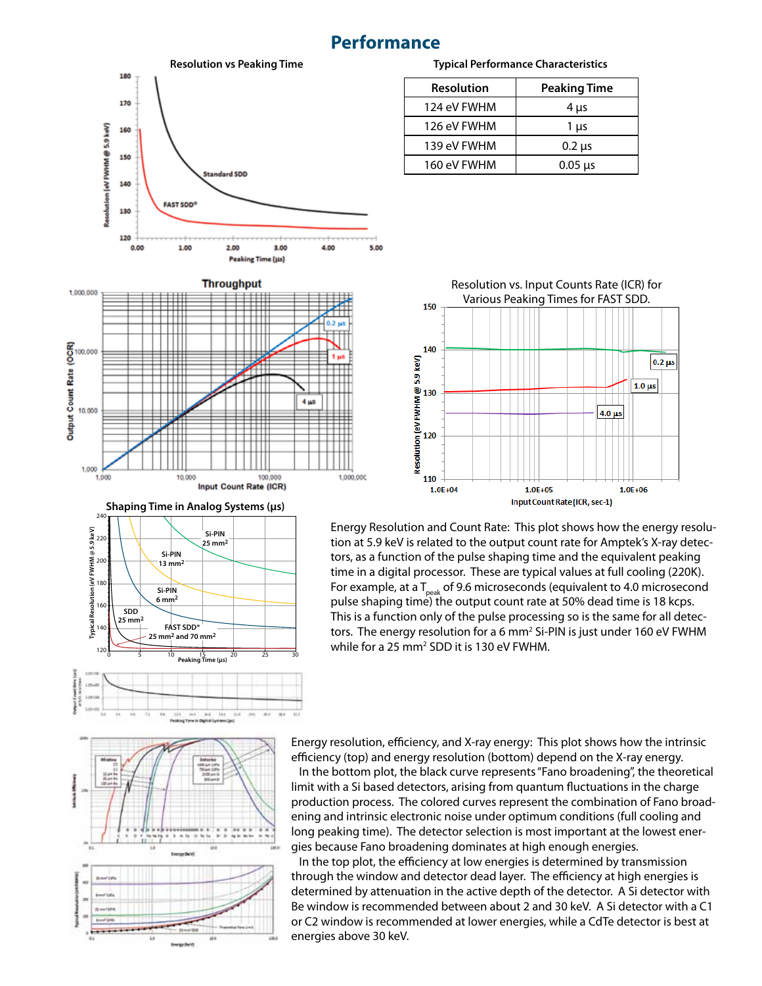## **Performance**





**Input Count Rate (ICR)** 

**Peaking Time (μs)** 

### **Typical Performance Characteristics**

| Resolution  | <b>Peaking Time</b> |
|-------------|---------------------|
| 124 eV FWHM | $4 \mu s$           |
| 126 eV FWHM | $1 \mu s$           |
| 139 eV FWHM | $0.2 \mu s$         |
| 160 eV FWHM | $0.05 \mu s$        |



Energy Resolution and Count Rate: This plot shows how the energy resolution at 5.9 keV is related to the output count rate for Amptek's X-ray detectors, as a function of the pulse shaping time and the equivalent peaking time in a digital processor. These are typical values at full cooling (220K). For example, at a  $T_{peak}$  of 9.6 microseconds (equivalent to 4.0 microsecond pulse shaping time) the output count rate at 50% dead time is 18 kcps. This is a function only of the pulse processing so is the same for all detectors. The energy resolution for a 6 mm<sup>2</sup> Si-PIN is just under 160 eV FWHM while for a 25 mm<sup>2</sup> SDD it is 130 eV FWHM.



Energy resolution, efficiency, and X-ray energy: This plot shows how the intrinsic efficiency (top) and energy resolution (bottom) depend on the X-ray energy.

 In the bottom plot, the black curve represents "Fano broadening", the theoretical limit with a Si based detectors, arising from quantum fluctuations in the charge production process. The colored curves represent the combination of Fano broadening and intrinsic electronic noise under optimum conditions (full cooling and long peaking time). The detector selection is most important at the lowest energies because Fano broadening dominates at high enough energies.

 In the top plot, the efficiency at low energies is determined by transmission through the window and detector dead layer. The efficiency at high energies is determined by attenuation in the active depth of the detector. A Si detector with Be window is recommended between about 2 and 30 keV. A Si detector with a C1 or C2 window is recommended at lower energies, while a CdTe detector is best at energies above 30 keV.